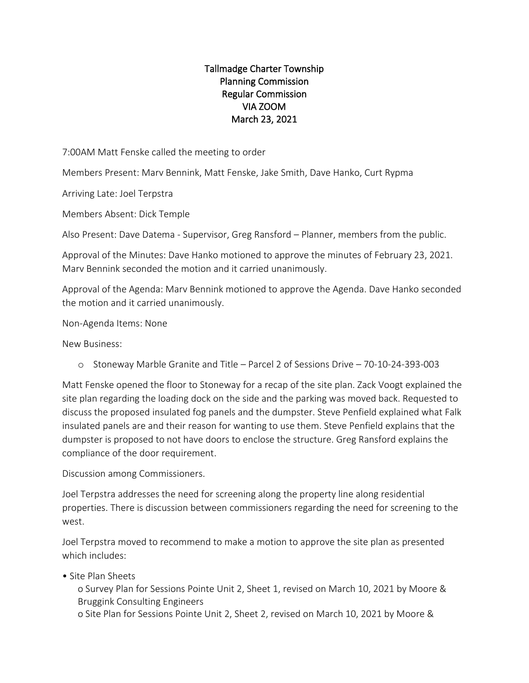## Tallmadge Charter Township Planning Commission Regular Commission VIA ZOOM March 23, 2021

7:00AM Matt Fenske called the meeting to order

Members Present: Marv Bennink, Matt Fenske, Jake Smith, Dave Hanko, Curt Rypma

Arriving Late: Joel Terpstra

Members Absent: Dick Temple

Also Present: Dave Datema - Supervisor, Greg Ransford – Planner, members from the public.

Approval of the Minutes: Dave Hanko motioned to approve the minutes of February 23, 2021. Marv Bennink seconded the motion and it carried unanimously.

Approval of the Agenda: Marv Bennink motioned to approve the Agenda. Dave Hanko seconded the motion and it carried unanimously.

Non-Agenda Items: None

New Business:

o Stoneway Marble Granite and Title – Parcel 2 of Sessions Drive – 70-10-24-393-003

Matt Fenske opened the floor to Stoneway for a recap of the site plan. Zack Voogt explained the site plan regarding the loading dock on the side and the parking was moved back. Requested to discuss the proposed insulated fog panels and the dumpster. Steve Penfield explained what Falk insulated panels are and their reason for wanting to use them. Steve Penfield explains that the dumpster is proposed to not have doors to enclose the structure. Greg Ransford explains the compliance of the door requirement.

Discussion among Commissioners.

Joel Terpstra addresses the need for screening along the property line along residential properties. There is discussion between commissioners regarding the need for screening to the west.

Joel Terpstra moved to recommend to make a motion to approve the site plan as presented which includes:

• Site Plan Sheets

o Survey Plan for Sessions Pointe Unit 2, Sheet 1, revised on March 10, 2021 by Moore & Bruggink Consulting Engineers

o Site Plan for Sessions Pointe Unit 2, Sheet 2, revised on March 10, 2021 by Moore &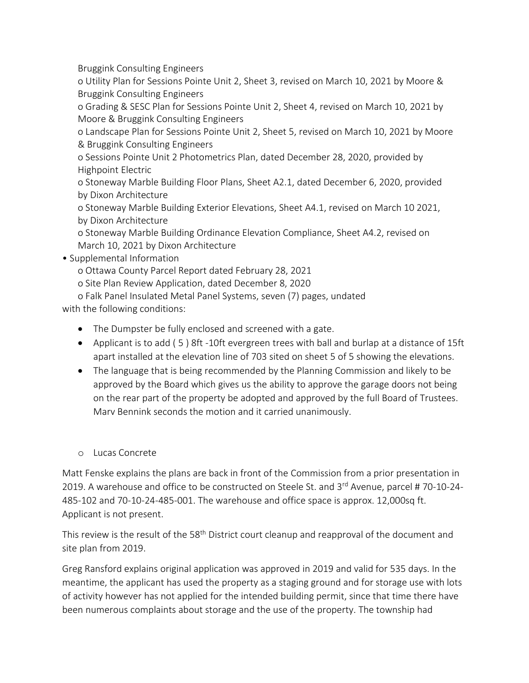Bruggink Consulting Engineers

o Utility Plan for Sessions Pointe Unit 2, Sheet 3, revised on March 10, 2021 by Moore & Bruggink Consulting Engineers

o Grading & SESC Plan for Sessions Pointe Unit 2, Sheet 4, revised on March 10, 2021 by Moore & Bruggink Consulting Engineers

o Landscape Plan for Sessions Pointe Unit 2, Sheet 5, revised on March 10, 2021 by Moore & Bruggink Consulting Engineers

o Sessions Pointe Unit 2 Photometrics Plan, dated December 28, 2020, provided by Highpoint Electric

o Stoneway Marble Building Floor Plans, Sheet A2.1, dated December 6, 2020, provided by Dixon Architecture

o Stoneway Marble Building Exterior Elevations, Sheet A4.1, revised on March 10 2021, by Dixon Architecture

o Stoneway Marble Building Ordinance Elevation Compliance, Sheet A4.2, revised on March 10, 2021 by Dixon Architecture

## • Supplemental Information

o Ottawa County Parcel Report dated February 28, 2021

o Site Plan Review Application, dated December 8, 2020

o Falk Panel Insulated Metal Panel Systems, seven (7) pages, undated

with the following conditions:

- The Dumpster be fully enclosed and screened with a gate.
- Applicant is to add ( 5 ) 8ft -10ft evergreen trees with ball and burlap at a distance of 15ft apart installed at the elevation line of 703 sited on sheet 5 of 5 showing the elevations.
- The language that is being recommended by the Planning Commission and likely to be approved by the Board which gives us the ability to approve the garage doors not being on the rear part of the property be adopted and approved by the full Board of Trustees. Marv Bennink seconds the motion and it carried unanimously.

## o Lucas Concrete

Matt Fenske explains the plans are back in front of the Commission from a prior presentation in 2019. A warehouse and office to be constructed on Steele St. and  $3^{rd}$  Avenue, parcel # 70-10-24-485-102 and 70-10-24-485-001. The warehouse and office space is approx. 12,000sq ft. Applicant is not present.

This review is the result of the 58<sup>th</sup> District court cleanup and reapproval of the document and site plan from 2019.

Greg Ransford explains original application was approved in 2019 and valid for 535 days. In the meantime, the applicant has used the property as a staging ground and for storage use with lots of activity however has not applied for the intended building permit, since that time there have been numerous complaints about storage and the use of the property. The township had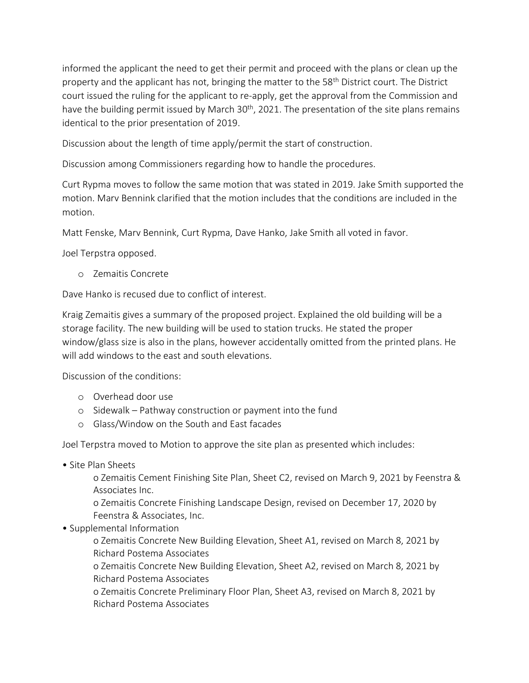informed the applicant the need to get their permit and proceed with the plans or clean up the property and the applicant has not, bringing the matter to the 58<sup>th</sup> District court. The District court issued the ruling for the applicant to re-apply, get the approval from the Commission and have the building permit issued by March 30<sup>th</sup>, 2021. The presentation of the site plans remains identical to the prior presentation of 2019.

Discussion about the length of time apply/permit the start of construction.

Discussion among Commissioners regarding how to handle the procedures.

Curt Rypma moves to follow the same motion that was stated in 2019. Jake Smith supported the motion. Marv Bennink clarified that the motion includes that the conditions are included in the motion.

Matt Fenske, Marv Bennink, Curt Rypma, Dave Hanko, Jake Smith all voted in favor.

Joel Terpstra opposed.

o Zemaitis Concrete

Dave Hanko is recused due to conflict of interest.

Kraig Zemaitis gives a summary of the proposed project. Explained the old building will be a storage facility. The new building will be used to station trucks. He stated the proper window/glass size is also in the plans, however accidentally omitted from the printed plans. He will add windows to the east and south elevations.

Discussion of the conditions:

- o Overhead door use
- o Sidewalk Pathway construction or payment into the fund
- o Glass/Window on the South and East facades

Joel Terpstra moved to Motion to approve the site plan as presented which includes:

• Site Plan Sheets

o Zemaitis Cement Finishing Site Plan, Sheet C2, revised on March 9, 2021 by Feenstra & Associates Inc.

o Zemaitis Concrete Finishing Landscape Design, revised on December 17, 2020 by Feenstra & Associates, Inc.

• Supplemental Information

o Zemaitis Concrete New Building Elevation, Sheet A1, revised on March 8, 2021 by Richard Postema Associates

o Zemaitis Concrete New Building Elevation, Sheet A2, revised on March 8, 2021 by Richard Postema Associates

o Zemaitis Concrete Preliminary Floor Plan, Sheet A3, revised on March 8, 2021 by Richard Postema Associates